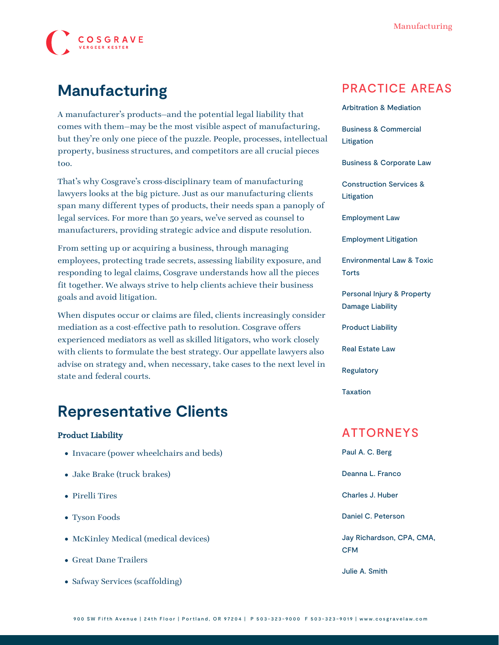

# **Manufacturing**

A manufacturer's products—and the potential legal liability that comes with them—may be the most visible aspect of manufacturing, but they're only one piece of the puzzle. People, processes, intellectual property, business structures, and competitors are all crucial pieces too.

That's why Cosgrave's cross-disciplinary team of manufacturing lawyers looks at the big picture. Just as our manufacturing clients span many different types of products, their needs span a panoply of legal services. For more than 50 years, we've served as counsel to manufacturers, providing strategic advice and dispute resolution.

From setting up or acquiring a business, through managing employees, protecting trade secrets, assessing liability exposure, and responding to legal claims, Cosgrave understands how all the pieces fit together. We always strive to help clients achieve their business goals and avoid litigation.

When disputes occur or claims are filed, clients increasingly consider mediation as a cost-effective path to resolution. Cosgrave offers experienced mediators as well as skilled litigators, who work closely with clients to formulate the best strategy. Our appellate lawyers also advise on strategy and, when necessary, take cases to the next level in state and federal courts.

## **Representative Clients**

#### Product Liability

- Invacare (power wheelchairs and beds)
- Jake Brake (truck brakes)
- Pirelli Tires
- Tyson Foods
- McKinley Medical (medical devices)
- Great Dane Trailers
- Safway Services (scaffolding)

### PRACTICE AREAS

[Arbitration & Mediation](https://www.cosgravelaw.com/arbitration-mediation/)

[Business & Commercial](https://www.cosgravelaw.com/business-commercial-litigation/) [Litigation](https://www.cosgravelaw.com/business-commercial-litigation/)

[Business & Corporate Law](https://www.cosgravelaw.com/business-representation-transactions/)

[Construction Services &](https://www.cosgravelaw.com/construction-services-litigation/) [Litigation](https://www.cosgravelaw.com/construction-services-litigation/)

[Employment Law](https://www.cosgravelaw.com/employee-relations-hr-advice-counsel/)

[Employment Litigation](https://www.cosgravelaw.com/employment-litigation/)

[Environmental Law & Toxic](https://www.cosgravelaw.com/environmental-law-toxic-torts/) **[Torts](https://www.cosgravelaw.com/environmental-law-toxic-torts/)** 

[Personal Injury & Property](https://www.cosgravelaw.com/personal-injury-property-damage-liability/) [Damage Liability](https://www.cosgravelaw.com/personal-injury-property-damage-liability/)

[Product Liability](https://www.cosgravelaw.com/product-liability-attorneys/)

[Real Estate Law](https://www.cosgravelaw.com/real-estate-law/)

[Regulatory](https://www.cosgravelaw.com/regulatory/)

[Taxation](https://www.cosgravelaw.com/taxation/)

### ATTORNEYS

[Paul A. C. Berg](https://www.cosgravelaw.com/paul-berg-insurance-coverage/) [Deanna L. Franco](https://www.cosgravelaw.com/deanna-l-franco-trust-estate-planning/) [Charles J. Huber](https://www.cosgravelaw.com/charles-huber-business-representation-transactions/) [Daniel C. Peterson](https://www.cosgravelaw.com/daniel-peterson-creditors-rights/) [Jay Richardson, CPA, CMA,](https://www.cosgravelaw.com/tax-attorney-cpa-cma-cfm/) [CFM](https://www.cosgravelaw.com/tax-attorney-cpa-cma-cfm/)

[Julie A. Smith](https://www.cosgravelaw.com/julie-smith-appellate-litigation-services/)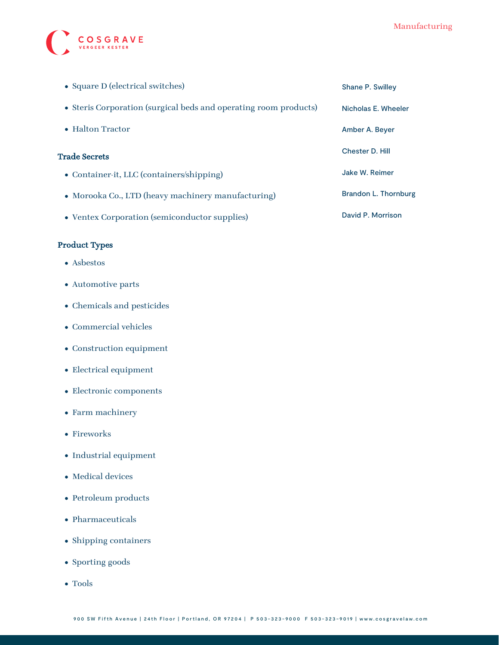

| • Square D (electrical switches)                                 | Shane P. Swilley       |
|------------------------------------------------------------------|------------------------|
| • Steris Corporation (surgical beds and operating room products) | Nicholas E. Wheeler    |
| • Halton Tractor                                                 | Amber A. Beyer         |
| <b>Trade Secrets</b>                                             | <b>Chester D. Hill</b> |
| • Container-it, LLC (containers/shipping)                        | Jake W. Reimer         |
| • Morooka Co., LTD (heavy machinery manufacturing)               | Brandon L. Thornburg   |
| • Ventex Corporation (semiconductor supplies)                    | David P. Morrison      |

#### Product Types

- Asbestos
- Automotive parts
- Chemicals and pesticides
- Commercial vehicles
- $\bullet$  Construction equipment
- Electrical equipment
- Electronic components
- Farm machinery
- Fireworks
- Industrial equipment
- Medical devices
- Petroleum products
- Pharmaceuticals
- Shipping containers
- Sporting goods
- Tools